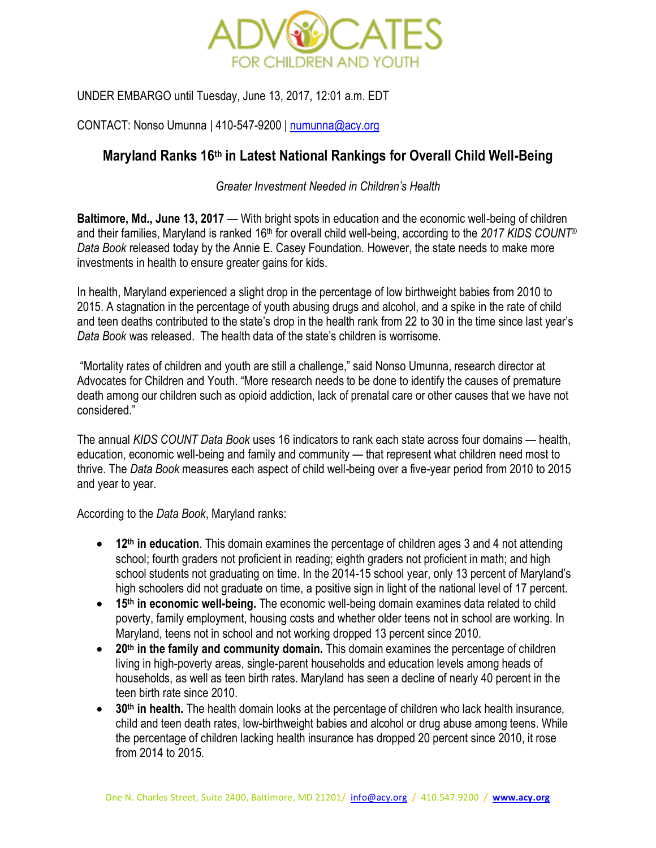

UNDER EMBARGO until Tuesday, June 13, 2017, 12:01 a.m. EDT

CONTACT: Nonso Umunna | 410-547-9200 [| numunna@acy.org](mailto:numunna@acy.org)

# **Maryland Ranks 16th in Latest National Rankings for Overall Child Well-Being**

## *Greater Investment Needed in Children's Health*

**Baltimore, Md., June 13, 2017** — With bright spots in education and the economic well-being of children and their families, Maryland is ranked 16<sup>th</sup> for overall child well-being, according to the 2017 KIDS COUNT<sup>®</sup> *Data Book* released today by the Annie E. Casey Foundation. However, the state needs to make more investments in health to ensure greater gains for kids.

In health, Maryland experienced a slight drop in the percentage of low birthweight babies from 2010 to 2015. A stagnation in the percentage of youth abusing drugs and alcohol, and a spike in the rate of child and teen deaths contributed to the state's drop in the health rank from 22 to 30 in the time since last year's *Data Book* was released. The health data of the state's children is worrisome.

"Mortality rates of children and youth are still a challenge," said Nonso Umunna, research director at Advocates for Children and Youth. "More research needs to be done to identify the causes of premature death among our children such as opioid addiction, lack of prenatal care or other causes that we have not considered."

The annual *KIDS COUNT Data Book* uses 16 indicators to rank each state across four domains — health, education, economic well-being and family and community — that represent what children need most to thrive. The *Data Book* measures each aspect of child well-being over a five-year period from 2010 to 2015 and year to year.

According to the *Data Book*, Maryland ranks:

- **12th in education**. This domain examines the percentage of children ages 3 and 4 not attending school; fourth graders not proficient in reading; eighth graders not proficient in math; and high school students not graduating on time. In the 2014-15 school year, only 13 percent of Maryland's high schoolers did not graduate on time, a positive sign in light of the national level of 17 percent.
- **15th in economic well-being.** The economic well-being domain examines data related to child poverty, family employment, housing costs and whether older teens not in school are working. In Maryland, teens not in school and not working dropped 13 percent since 2010.
- **20th in the family and community domain.** This domain examines the percentage of children living in high-poverty areas, single-parent households and education levels among heads of households, as well as teen birth rates. Maryland has seen a decline of nearly 40 percent in the teen birth rate since 2010.
- **30th in health.** The health domain looks at the percentage of children who lack health insurance, child and teen death rates, low-birthweight babies and alcohol or drug abuse among teens. While the percentage of children lacking health insurance has dropped 20 percent since 2010, it rose from 2014 to 2015.